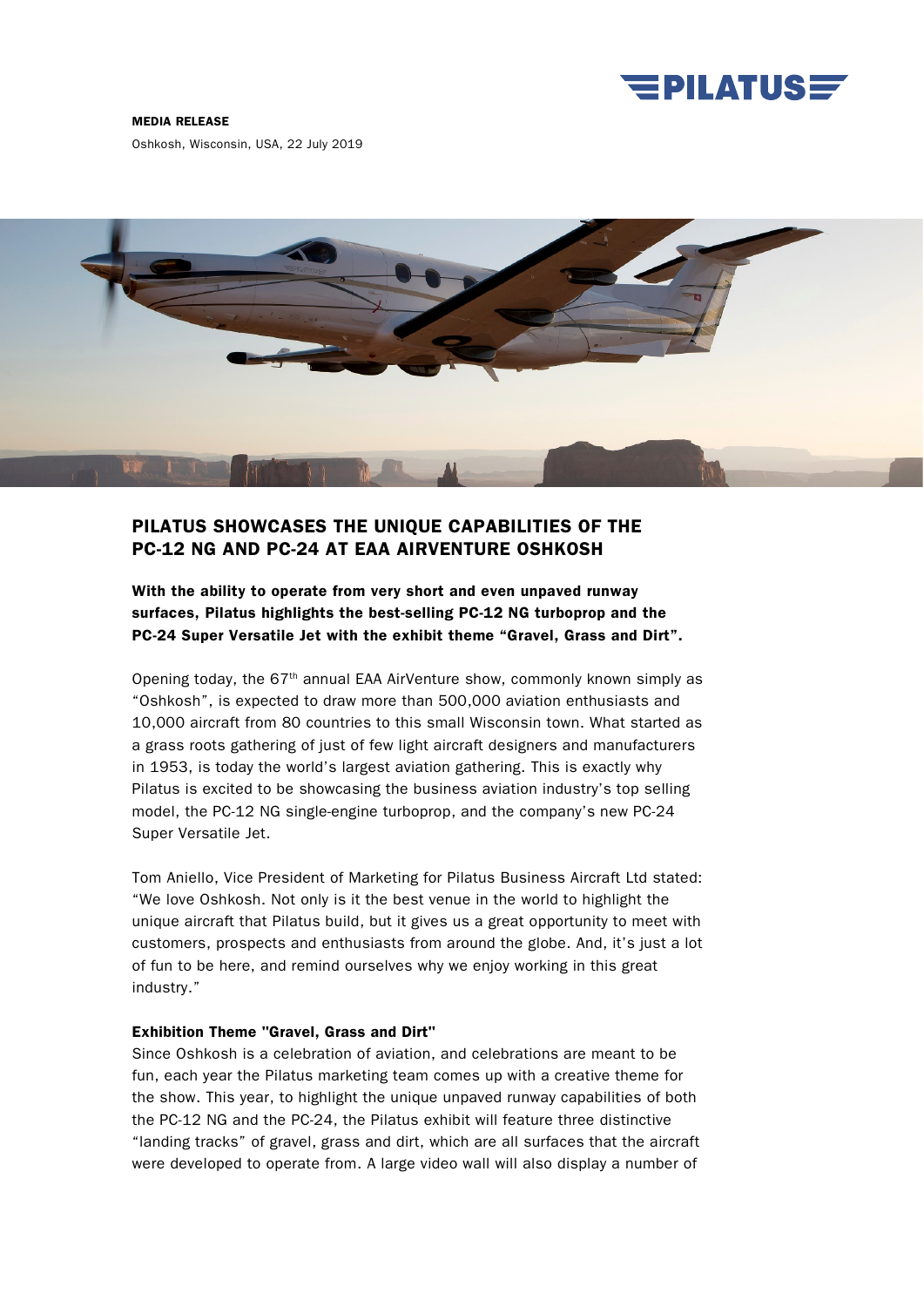

#### MEDIA RELEASE

Oshkosh, Wisconsin, USA, 22 July 2019



## PILATUS SHOWCASES THE UNIQUE CAPABILITIES OF THE PC-12 NG AND PC-24 AT EAA AIRVENTURE OSHKOSH

With the ability to operate from very short and even unpaved runway surfaces, Pilatus highlights the best-selling PC-12 NG turboprop and the PC-24 Super Versatile Jet with the exhibit theme "Gravel, Grass and Dirt".

Opening today, the  $67<sup>th</sup>$  annual EAA AirVenture show, commonly known simply as "Oshkosh", is expected to draw more than 500,000 aviation enthusiasts and 10,000 aircraft from 80 countries to this small Wisconsin town. What started as a grass roots gathering of just of few light aircraft designers and manufacturers in 1953, is today the world's largest aviation gathering. This is exactly why Pilatus is excited to be showcasing the business aviation industry's top selling model, the PC-12 NG single-engine turboprop, and the company's new PC-24 Super Versatile Jet.

Tom Aniello, Vice President of Marketing for Pilatus Business Aircraft Ltd stated: "We love Oshkosh. Not only is it the best venue in the world to highlight the unique aircraft that Pilatus build, but it gives us a great opportunity to meet with customers, prospects and enthusiasts from around the globe. And, it's just a lot of fun to be here, and remind ourselves why we enjoy working in this great industry."

### Exhibition Theme "Gravel, Grass and Dirt"

Since Oshkosh is a celebration of aviation, and celebrations are meant to be fun, each year the Pilatus marketing team comes up with a creative theme for the show. This year, to highlight the unique unpaved runway capabilities of both the PC-12 NG and the PC-24, the Pilatus exhibit will feature three distinctive "landing tracks" of gravel, grass and dirt, which are all surfaces that the aircraft were developed to operate from. A large video wall will also display a number of